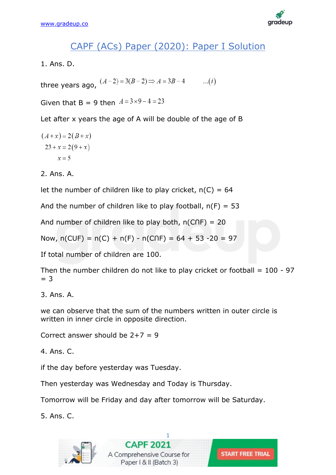

# CAPF (ACs) Paper (2020): Paper I Solution

1. Ans. D.

three years ago,  $(A-2) = 3(B-2) \Rightarrow A = 3B-4$  $...(i)$ 

Given that B = 9 then  $A = 3 \times 9 - 4 = 23$ 

Let after x years the age of A will be double of the age of B

$$
(A+x) = 2(B+x)
$$

$$
23 + x = 2(9+x)
$$

$$
x = 5
$$

2. Ans. A.

let the number of children like to play cricket,  $n(C) = 64$ 

And the number of children like to play football,  $n(F) = 53$ 

And number of children like to play both,  $n(C \cap F) = 20$ 

Now,  $n(CUF) = n(C) + n(F) - n(C\cap F) = 64 + 53 - 20 = 97$ 

If total number of children are 100.

Then the number children do not like to play cricket or football  $= 100 - 97$  $=$  3

3. Ans. A.

we can observe that the sum of the numbers written in outer circle is written in inner circle in opposite direction.

Correct answer should be  $2+7 = 9$ 

4. Ans. C.

if the day before yesterday was Tuesday.

Then yesterday was Wednesday and Today is Thursday.

Tomorrow will be Friday and day after tomorrow will be Saturday.

5. Ans. C.



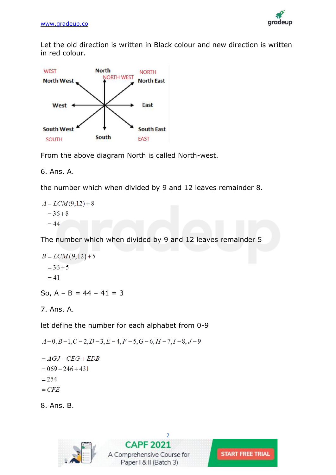

Let the old direction is written in Black colour and new direction is written in red colour.



From the above diagram North is called North-west.

6. Ans. A.

the number which when divided by 9 and 12 leaves remainder 8.

$$
A = LCM(9,12) + 8
$$
  
= 36 + 8  
= 44

The number which when divided by 9 and 12 leaves remainder 5

$$
B = LCM(9,12) + 5
$$
  
= 36 + 5  
= 41

So,  $A - B = 44 - 41 = 3$ 

7. Ans. A.

let define the number for each alphabet from 0-9

```
A-0, B-1, C-2, D-3, E-4, F-5, G-6, H-7, I-8, J-9= AGJ - CEG + EDB= 069 - 246 + 431= 254
```

```
= CFE
```
8. Ans. B.





**START FREE TRIAL**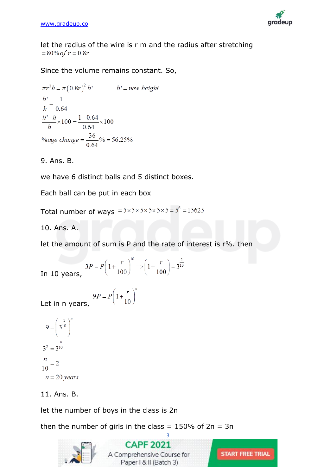

let the radius of the wire is r m and the radius after stretching  $= 80\%$  of  $r = 0.8r$ 

Since the volume remains constant. So,

$$
\pi r^2 h = \pi (0.8r)^2 h'
$$
  $h' = new height$   
\n
$$
\frac{h'}{h} = \frac{1}{0.64}
$$
  
\n
$$
\frac{h'-h}{h} \times 100 = \frac{1-0.64}{0.64} \times 100
$$
  
\n%age change =  $\frac{36}{0.64}$ % = 56.25%

# 9. Ans. B.

we have 6 distinct balls and 5 distinct boxes.

Each ball can be put in each box

Total number of ways  $= 5 \times 5 \times 5 \times 5 \times 5 \times 5 = 5^6 = 15625$ 

10. Ans. A.

let the amount of sum is P and the rate of interest is r%. then

In 10 years, 
$$
3P = P \left( 1 + \frac{r}{100} \right)^{10} \Rightarrow \left( 1 + \frac{r}{100} \right) = 3^{\frac{1}{10}}
$$

 $9P = P \left( 1 + \frac{r}{10} \right)^n$ Let in n years,

$$
9 = \left(\frac{1}{3^{10}}\right)^n
$$

$$
3^2 = 3^{\frac{n}{10}}
$$

$$
\frac{n}{10} = 2
$$

$$
n = 20 \text{ years}
$$

# 11. Ans. B.

let the number of boys in the class is 2n

then the number of girls in the class  $= 150\%$  of  $2n = 3n$ 



**CAPF 2021** A Comprehensive Course for Paper | & II (Batch 3)

[3](https://gradeup.co/courses/capf-online-course-b3)

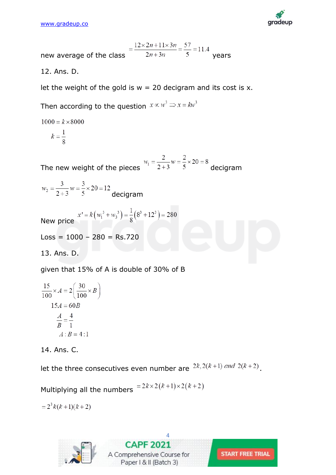

new average of the class 
$$
= \frac{12 \times 2n + 11 \times 3n}{2n + 3n} = \frac{57}{5} = 11.4
$$

12. Ans. D.

let the weight of the gold is  $w = 20$  decigram and its cost is x.

Then according to the question  $x \propto w^3 \Rightarrow x = kw^3$ 

$$
1000 = k \times 8000
$$

$$
k = \frac{1}{8}
$$

The new weight of the pieces  $w_1 = \frac{2}{2+3}w = \frac{2}{5} \times 20 = 8$  decigram

 $w_2 = \frac{3}{2+3} w = \frac{3}{5} \times 20 = 12$  decigram

New price 
$$
x' = k(w_1^3 + w_3^3) = \frac{1}{8}(8^3 + 12^3) = 280
$$

$$
Loss = 1000 - 280 = Rs.720
$$

13. Ans. D.

given that 15% of A is double of 30% of B

$$
\frac{15}{100} \times A = 2 \left( \frac{30}{100} \times B \right)
$$

$$
15A = 60B
$$

$$
\frac{A}{B} = \frac{4}{1}
$$

$$
A:B = 4:1
$$

14. Ans. C.

let the three consecutives even number are  $2k$ ,  $2(k+1)$  and  $2(k+2)$ .

Multiplying all the numbers  $= 2k \times 2(k+1) \times 2(k+2)$ 

 $= 2^3 k(k+1)(k+2)$ 



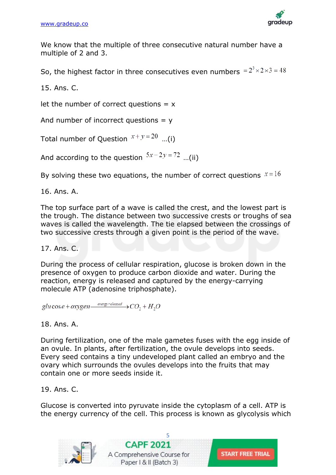

We know that the multiple of three consecutive natural number have a multiple of 2 and 3.

So, the highest factor in three consecutives even numbers  $= 2^3 \times 2 \times 3 = 48$ 

15. Ans. C.

let the number of correct questions  $= x$ 

And number of incorrect questions  $= y$ 

Total number of Question  $x+y=20$  ...(i)

And according to the question  $5x-2y=72$  ...(ii)

By solving these two equations, the number of correct questions  $x=16$ 

16. Ans. A.

The top surface part of a wave is called the crest, and the lowest part is the trough. The distance between two successive crests or troughs of sea waves is called the wavelength. The tie elapsed between the crossings of two successive crests through a given point is the period of the wave.

17. Ans. C.

During the process of cellular respiration, glucose is broken down in the presence of oxygen to produce carbon dioxide and water. During the reaction, energy is released and captured by the energy-carrying molecule ATP (adenosine triphosphate).

glu cos e + oxygen  $\frac{energy$  released  $\rightarrow$   $CO_2 + H_2O$ 

#### 18. Ans. A.

During fertilization, one of the male gametes fuses with the egg inside of an ovule. In plants, after fertilization, the ovule develops into seeds. Every seed contains a tiny undeveloped plant called an embryo and the ovary which surrounds the ovules develops into the fruits that may contain one or more seeds inside it.

19. Ans. C.

Glucose is converted into pyruvate inside the cytoplasm of a cell. ATP is the energy currency of the cell. This process is known as glycolysis which

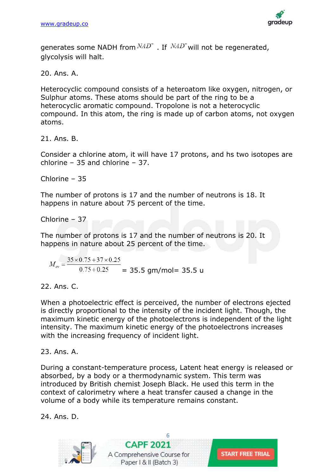

generates some NADH from  $NAD^+$  . If  $NAD^+$  will not be regenerated, glycolysis will halt.

20. Ans. A.

Heterocyclic compound consists of a heteroatom like oxygen, nitrogen, or Sulphur atoms. These atoms should be part of the ring to be a heterocyclic aromatic compound. Tropolone is not a heterocyclic compound. In this atom, the ring is made up of carbon atoms, not oxygen atoms.

21. Ans. B.

Consider a chlorine atom, it will have 17 protons, and hs two isotopes are chlorine – 35 and chlorine – 37.

Chlorine – 35

The number of protons is 17 and the number of neutrons is 18. It happens in nature about 75 percent of the time.

Chlorine – 37

The number of protons is 17 and the number of neutrons is 20. It happens in nature about 25 percent of the time.

 $M_{av} = \frac{35 \times 0.75 + 37 \times 0.25}{0.75 + 0.25} = 35.5$  gm/mol= 35.5 u

22. Ans. C.

When a photoelectric effect is perceived, the number of electrons ejected is directly proportional to the intensity of the incident light. Though, the maximum kinetic energy of the photoelectrons is independent of the light intensity. The maximum kinetic energy of the photoelectrons increases with the increasing frequency of incident light.

23. Ans. A.

During a constant-temperature process, Latent heat energy is released or absorbed, by a body or a thermodynamic system. This term was introduced by British chemist Joseph Black. He used this term in the context of calorimetry where a heat transfer caused a change in the volume of a body while its temperature remains constant.

24. Ans. D.



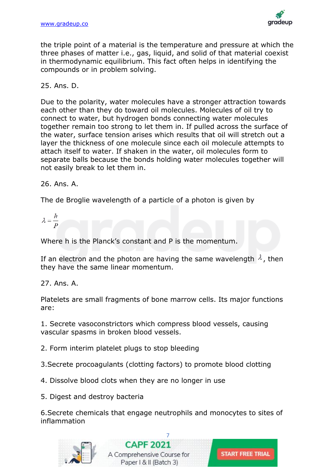

the triple point of a material is the temperature and pressure at which the three phases of matter i.e., gas, liquid, and solid of that material coexist in thermodynamic equilibrium. This fact often helps in identifying the compounds or in problem solving.

25. Ans. D.

Due to the polarity, water molecules have a stronger attraction towards each other than they do toward oil molecules. Molecules of oil try to connect to water, but hydrogen bonds connecting water molecules together remain too strong to let them in. If pulled across the surface of the water, surface tension arises which results that oil will stretch out a layer the thickness of one molecule since each oil molecule attempts to attach itself to water. If shaken in the water, oil molecules form to separate balls because the bonds holding water molecules together will not easily break to let them in.

26. Ans. A.

The de Broglie wavelength of a particle of a photon is given by

 $\lambda = \frac{h}{R}$ 

Where h is the Planck's constant and P is the momentum.

If an electron and the photon are having the same wavelength  $\lambda$ , then they have the same linear momentum.

27. Ans. A.

Platelets are small fragments of bone marrow cells. Its major functions are:

1. Secrete vasoconstrictors which compress blood vessels, causing vascular spasms in broken blood vessels.

2. Form interim platelet plugs to stop bleeding

3.Secrete procoagulants (clotting factors) to promote blood clotting

4. Dissolve blood clots when they are no longer in use

5. Digest and destroy bacteria

6.Secrete chemicals that engage neutrophils and monocytes to sites of inflammation



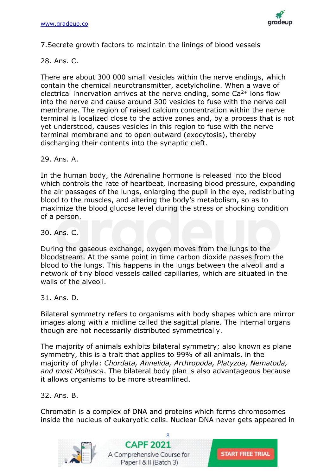

7.Secrete growth factors to maintain the linings of blood vessels

28. Ans. C.

There are about 300 000 small vesicles within the nerve endings, which contain the chemical neurotransmitter, acetylcholine. When a wave of electrical innervation arrives at the nerve ending, some  $Ca<sup>2+</sup>$  ions flow into the nerve and cause around 300 vesicles to fuse with the nerve cell membrane. The region of raised calcium concentration within the nerve terminal is localized close to the active zones and, by a process that is not yet understood, causes vesicles in this region to fuse with the nerve terminal membrane and to open outward (exocytosis), thereby discharging their contents into the synaptic cleft.

29. Ans. A.

In the human body, the Adrenaline hormone is released into the blood which controls the rate of heartbeat, increasing blood pressure, expanding the air passages of the lungs, enlarging the pupil in the eye, redistributing blood to the muscles, and altering the body's metabolism, so as to maximize the blood glucose level during the stress or shocking condition of a person.

30. Ans. C.

During the gaseous exchange, oxygen moves from the lungs to the bloodstream. At the same point in time carbon dioxide passes from the blood to the lungs. This happens in the lungs between the alveoli and a network of tiny blood vessels called capillaries, which are situated in the walls of the alveoli.

31. Ans. D.

Bilateral symmetry refers to organisms with body shapes which are mirror images along with a midline called the sagittal plane. The internal organs though are not necessarily distributed symmetrically.

The majority of animals exhibits bilateral symmetry; also known as plane symmetry, this is a trait that applies to 99% of all animals, in the majority of phyla: *Chordata, Annelida, Arthropoda, Platyzoa, Nematoda, and most Mollusca*. The bilateral body plan is also advantageous because it allows organisms to be more streamlined.

32. Ans. B.

Chromatin is a complex of DNA and proteins which forms chromosomes inside the nucleus of eukaryotic cells. Nuclear DNA never gets appeared in

**START FREE TRIAL** 



![](_page_7_Picture_15.jpeg)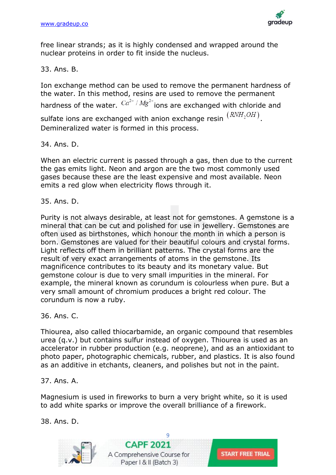![](_page_8_Picture_1.jpeg)

free linear strands; as it is highly condensed and wrapped around the nuclear proteins in order to fit inside the nucleus.

33. Ans. B.

Ion exchange method can be used to remove the permanent hardness of the water. In this method, resins are used to remove the permanent hardness of the water.  $Ca^{2+}/Mg^{2+}$  jons are exchanged with chloride and sulfate ions are exchanged with anion exchange resin  $(RNH_2OH)$ . Demineralized water is formed in this process.

34. Ans. D.

When an electric current is passed through a gas, then due to the current the gas emits light. Neon and argon are the two most commonly used gases because these are the least expensive and most available. Neon emits a red glow when electricity flows through it.

35. Ans. D.

Purity is not always desirable, at least not for gemstones. A gemstone is a mineral that can be cut and polished for use in jewellery. Gemstones are often used as birthstones, which honour the month in which a person is born. Gemstones are valued for their beautiful colours and crystal forms. Light reflects off them in brilliant patterns. The crystal forms are the result of very exact arrangements of atoms in the gemstone. Its magnificence contributes to its beauty and its monetary value. But gemstone colour is due to very small impurities in the mineral. For example, the mineral known as corundum is colourless when pure. But a very small amount of chromium produces a bright red colour. The corundum is now a ruby.

36. Ans. C.

Thiourea, also called thiocarbamide, an organic compound that resembles urea (q.v.) but contains sulfur instead of oxygen. Thiourea is used as an accelerator in rubber production (e.g. neoprene), and as an antioxidant to photo paper, photographic chemicals, rubber, and plastics. It is also found as an additive in etchants, cleaners, and polishes but not in the paint.

# 37. Ans. A.

Magnesium is used in fireworks to burn a very bright white, so it is used to add white sparks or improve the overall brilliance of a firework.

38. Ans. D.

![](_page_8_Picture_14.jpeg)

![](_page_8_Picture_16.jpeg)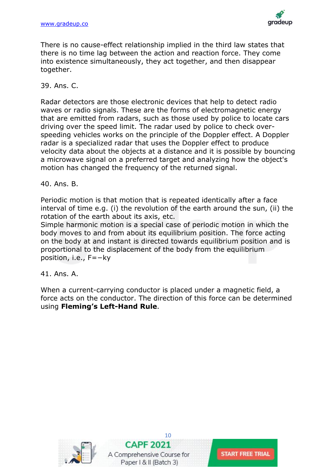![](_page_9_Picture_1.jpeg)

There is no cause-effect relationship implied in the third law states that there is no time lag between the action and reaction force. They come into existence simultaneously, they act together, and then disappear together.

#### 39. Ans. C.

Radar detectors are those electronic devices that help to detect radio waves or radio signals. These are the forms of electromagnetic energy that are emitted from radars, such as those used by police to locate cars driving over the speed limit. The radar used by police to check overspeeding vehicles works on the principle of the Doppler effect. A Doppler radar is a specialized radar that uses the Doppler effect to produce velocity data about the objects at a distance and it is possible by bouncing a microwave signal on a preferred target and analyzing how the object's motion has changed the frequency of the returned signal.

#### 40. Ans. B.

Periodic motion is that motion that is repeated identically after a face interval of time e.g. (i) the revolution of the earth around the sun, (ii) the rotation of the earth about its axis, etc.

Simple harmonic motion is a special case of periodic motion in which the body moves to and from about its equilibrium position. The force acting on the body at and instant is directed towards equilibrium position and is proportional to the displacement of the body from the equilibrium position, i.e., F=−ky

41. Ans. A.

When a current-carrying conductor is placed under a magnetic field, a force acts on the conductor. The direction of this force can be determined using **Fleming's Left-Hand Rule**.

![](_page_9_Picture_10.jpeg)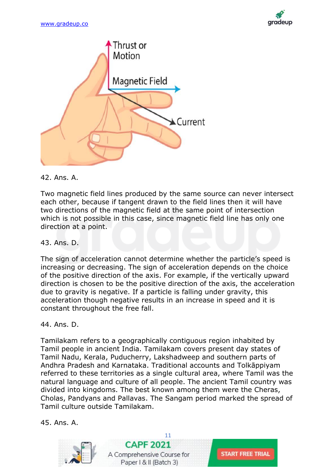![](_page_10_Picture_1.jpeg)

![](_page_10_Figure_2.jpeg)

42. Ans. A.

Two magnetic field lines produced by the same source can never intersect each other, because if tangent drawn to the field lines then it will have two directions of the magnetic field at the same point of intersection which is not possible in this case, since magnetic field line has only one direction at a point.

43. Ans. D.

The sign of acceleration cannot determine whether the particle's speed is increasing or decreasing. The sign of acceleration depends on the choice of the positive direction of the axis. For example, if the vertically upward direction is chosen to be the positive direction of the axis, the acceleration due to gravity is negative. If a particle is falling under gravity, this acceleration though negative results in an increase in speed and it is constant throughout the free fall.

44. Ans. D.

Tamilakam refers to a geographically contiguous region inhabited by Tamil people in ancient India. Tamilakam covers present day states of Tamil Nadu, Kerala, Puducherry, Lakshadweep and southern parts of Andhra Pradesh and Karnataka. Traditional accounts and Tolkāppiyam referred to these territories as a single cultural area, where Tamil was the natural language and culture of all people. The ancient Tamil country was divided into kingdoms. The best known among them were the Cheras, Cholas, Pandyans and Pallavas. The Sangam period marked the spread of Tamil culture outside Tamilakam.

45. Ans. A.

![](_page_10_Picture_10.jpeg)

[11](https://gradeup.co/courses/capf-online-course-b3) **CAPF 2021** A Comprehensive Course for Paper | & II (Batch 3)

**START FREE TRIAL**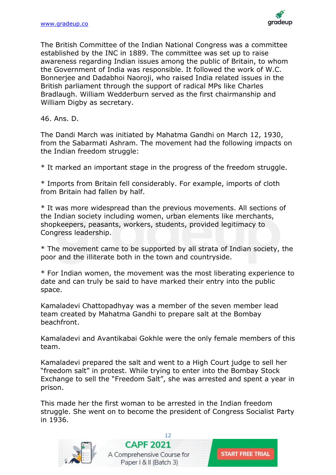![](_page_11_Picture_1.jpeg)

The British Committee of the Indian National Congress was a committee established by the INC in 1889. The committee was set up to raise awareness regarding Indian issues among the public of Britain, to whom the Government of India was responsible. It followed the work of W.C. Bonnerjee and Dadabhoi Naoroji, who raised India related issues in the British parliament through the support of radical MPs like Charles Bradlaugh. William Wedderburn served as the first chairmanship and William Digby as secretary.

46. Ans. D.

The Dandi March was initiated by Mahatma Gandhi on March 12, 1930, from the Sabarmati Ashram. The movement had the following impacts on the Indian freedom struggle:

\* It marked an important stage in the progress of the freedom struggle.

\* Imports from Britain fell considerably. For example, imports of cloth from Britain had fallen by half.

\* It was more widespread than the previous movements. All sections of the Indian society including women, urban elements like merchants, shopkeepers, peasants, workers, students, provided legitimacy to Congress leadership.

\* The movement came to be supported by all strata of Indian society, the poor and the illiterate both in the town and countryside.

\* For Indian women, the movement was the most liberating experience to date and can truly be said to have marked their entry into the public space.

Kamaladevi Chattopadhyay was a member of the seven member lead team created by Mahatma Gandhi to prepare salt at the Bombay beachfront.

Kamaladevi and Avantikabai Gokhle were the only female members of this team.

Kamaladevi prepared the salt and went to a High Court judge to sell her "freedom salt" in protest. While trying to enter into the Bombay Stock Exchange to sell the "Freedom Salt", she was arrested and spent a year in prison.

This made her the first woman to be arrested in the Indian freedom struggle. She went on to become the president of Congress Socialist Party in 1936.

**START FREE TRIAL** 

![](_page_11_Picture_14.jpeg)

![](_page_11_Picture_15.jpeg)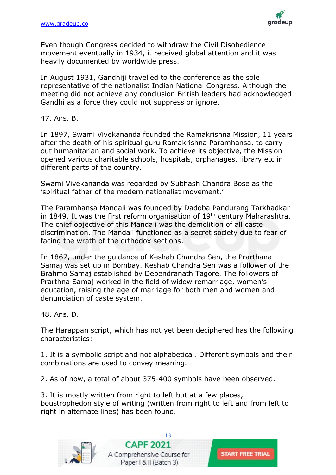![](_page_12_Picture_1.jpeg)

Even though Congress decided to withdraw the Civil Disobedience movement eventually in 1934, it received global attention and it was heavily documented by worldwide press.

In August 1931, Gandhiji travelled to the conference as the sole representative of the nationalist Indian National Congress. Although the meeting did not achieve any conclusion British leaders had acknowledged Gandhi as a force they could not suppress or ignore.

47. Ans. B.

In 1897, Swami Vivekananda founded the Ramakrishna Mission, 11 years after the death of his spiritual guru Ramakrishna Paramhansa, to carry out humanitarian and social work. To achieve its objective, the Mission opened various charitable schools, hospitals, orphanages, library etc in different parts of the country.

Swami Vivekananda was regarded by Subhash Chandra Bose as the 'spiritual father of the modern nationalist movement.'

The Paramhansa Mandali was founded by Dadoba Pandurang Tarkhadkar in 1849. It was the first reform organisation of 19<sup>th</sup> century Maharashtra. The chief objective of this Mandali was the demolition of all caste discrimination. The Mandali functioned as a secret society due to fear of facing the wrath of the orthodox sections.

In 1867, under the guidance of Keshab Chandra Sen, the Prarthana Samaj was set up in Bombay. Keshab Chandra Sen was a follower of the Brahmo Samaj established by Debendranath Tagore. The followers of Prarthna Samaj worked in the field of widow remarriage, women's education, raising the age of marriage for both men and women and denunciation of caste system.

48. Ans. D.

The Harappan script, which has not yet been deciphered has the following characteristics:

1. It is a symbolic script and not alphabetical. Different symbols and their combinations are used to convey meaning.

2. As of now, a total of about 375-400 symbols have been observed.

3. It is mostly written from right to left but at a few places, boustrophedon style of writing (written from right to left and from left to right in alternate lines) has been found.

![](_page_12_Picture_14.jpeg)

![](_page_12_Picture_16.jpeg)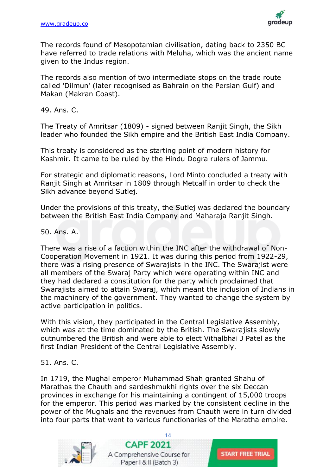![](_page_13_Picture_1.jpeg)

The records found of Mesopotamian civilisation, dating back to 2350 BC have referred to trade relations with Meluha, which was the ancient name given to the Indus region.

The records also mention of two intermediate stops on the trade route called 'Dilmun' (later recognised as Bahrain on the Persian Gulf) and Makan (Makran Coast).

49. Ans. C.

The Treaty of Amritsar (1809) - signed between Ranjit Singh, the Sikh leader who founded the Sikh empire and the British East India Company.

This treaty is considered as the starting point of modern history for Kashmir. It came to be ruled by the Hindu Dogra rulers of Jammu.

For strategic and diplomatic reasons, Lord Minto concluded a treaty with Ranjit Singh at Amritsar in 1809 through Metcalf in order to check the Sikh advance beyond Sutlej.

Under the provisions of this treaty, the Sutlej was declared the boundary between the British East India Company and Maharaja Ranjit Singh.

50. Ans. A.

There was a rise of a faction within the INC after the withdrawal of Non-Cooperation Movement in 1921. It was during this period from 1922-29, there was a rising presence of Swarajists in the INC. The Swarajist were all members of the Swaraj Party which were operating within INC and they had declared a constitution for the party which proclaimed that Swarajists aimed to attain Swaraj, which meant the inclusion of Indians in the machinery of the government. They wanted to change the system by active participation in politics.

With this vision, they participated in the Central Legislative Assembly, which was at the time dominated by the British. The Swarajists slowly outnumbered the British and were able to elect Vithalbhai J Patel as the first Indian President of the Central Legislative Assembly.

51. Ans. C.

In 1719, the Mughal emperor Muhammad Shah granted Shahu of Marathas the Chauth and sardeshmukhi rights over the six Deccan provinces in exchange for his maintaining a contingent of 15,000 troops for the emperor. This period was marked by the consistent decline in the power of the Mughals and the revenues from Chauth were in turn divided into four parts that went to various functionaries of the Maratha empire.

![](_page_13_Picture_14.jpeg)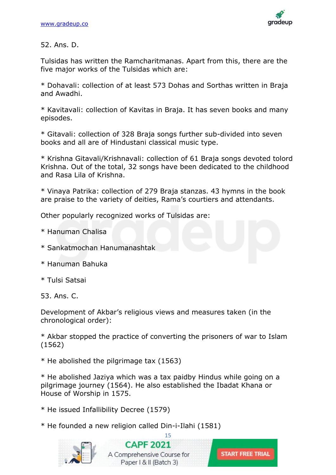![](_page_14_Picture_1.jpeg)

# 52. Ans. D.

Tulsidas has written the Ramcharitmanas. Apart from this, there are the five major works of the Tulsidas which are:

\* Dohavali: collection of at least 573 Dohas and Sorthas written in Braja and Awadhi.

\* Kavitavali: collection of Kavitas in Braja. It has seven books and many episodes.

\* Gitavali: collection of 328 Braja songs further sub-divided into seven books and all are of Hindustani classical music type.

\* Krishna Gitavali/Krishnavali: collection of 61 Braja songs devoted tolord Krishna. Out of the total, 32 songs have been dedicated to the childhood and Rasa Lila of Krishna.

\* Vinaya Patrika: collection of 279 Braja stanzas. 43 hymns in the book are praise to the variety of deities, Rama's courtiers and attendants.

Other popularly recognized works of Tulsidas are:

\* Hanuman Chalisa

\* Sankatmochan Hanumanashtak

\* Hanuman Bahuka

\* Tulsi Satsai

53. Ans. C.

Development of Akbar's religious views and measures taken (in the chronological order):

\* Akbar stopped the practice of converting the prisoners of war to Islam (1562)

\* He abolished the pilgrimage tax (1563)

\* He abolished Jaziya which was a tax paidby Hindus while going on a pilgrimage journey (1564). He also established the Ibadat Khana or House of Worship in 1575.

\* He issued Infallibility Decree (1579)

\* He founded a new religion called Din-i-Ilahi (1581)

![](_page_14_Picture_21.jpeg)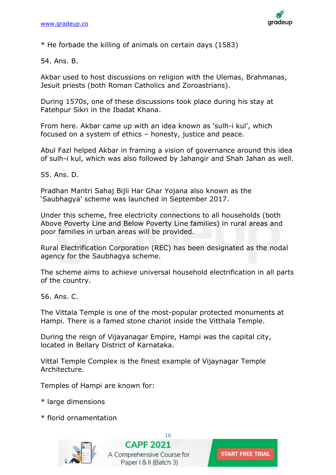![](_page_15_Picture_1.jpeg)

\* He forbade the killing of animals on certain days (1583)

54. Ans. B.

Akbar used to host discussions on religion with the Ulemas, Brahmanas, Jesuit priests (both Roman Catholics and Zoroastrians).

During 1570s, one of these discussions took place during his stay at Fatehpur Sikri in the Ibadat Khana.

From here. Akbar came up with an idea known as 'sulh-i kul', which focused on a system of ethics – honesty, justice and peace.

Abul Fazl helped Akbar in framing a vision of governance around this idea of sulh-i kul, which was also followed by Jahangir and Shah Jahan as well.

55. Ans. D.

Pradhan Mantri Sahaj Bijli Har Ghar Yojana also known as the 'Saubhagya' scheme was launched in September 2017.

Under this scheme, free electricity connections to all households (both Above Poverty Line and Below Poverty Line families) in rural areas and poor families in urban areas will be provided.

Rural Electrification Corporation (REC) has been designated as the nodal agency for the Saubhagya scheme.

The scheme aims to achieve universal household electrification in all parts of the country.

56. Ans. C.

The Vittala Temple is one of the most-popular protected monuments at Hampi. There is a famed stone chariot inside the Vitthala Temple.

During the reign of Vijayanagar Empire, Hampi was the capital city, located in Bellary District of Karnataka.

Vittal Temple Complex is the finest example of Vijaynagar Temple Architecture.

Temples of Hampi are known for:

- \* large dimensions
- \* florid ornamentation

![](_page_15_Picture_20.jpeg)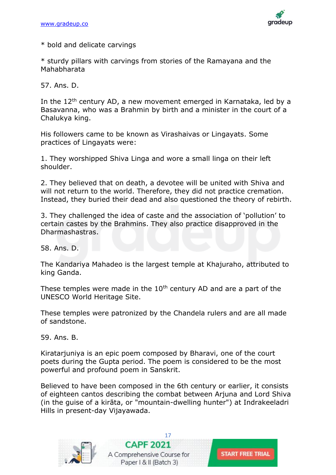![](_page_16_Picture_1.jpeg)

\* bold and delicate carvings

\* sturdy pillars with carvings from stories of the Ramayana and the Mahabharata

57. Ans. D.

In the  $12<sup>th</sup>$  century AD, a new movement emerged in Karnataka, led by a Basavanna, who was a Brahmin by birth and a minister in the court of a Chalukya king.

His followers came to be known as Virashaivas or Lingayats. Some practices of Lingayats were:

1. They worshipped Shiva Linga and wore a small linga on their left shoulder.

2. They believed that on death, a devotee will be united with Shiva and will not return to the world. Therefore, they did not practice cremation. Instead, they buried their dead and also questioned the theory of rebirth.

3. They challenged the idea of caste and the association of 'pollution' to certain castes by the Brahmins. They also practice disapproved in the Dharmashastras.

58. Ans. D.

The Kandariya Mahadeo is the largest temple at Khajuraho, attributed to king Ganda.

These temples were made in the  $10<sup>th</sup>$  century AD and are a part of the UNESCO World Heritage Site.

These temples were patronized by the Chandela rulers and are all made of sandstone.

59. Ans. B.

Kiratarjuniya is an epic poem composed by Bharavi, one of the court poets during the Gupta period. The poem is considered to be the most powerful and profound poem in Sanskrit.

Believed to have been composed in the 6th century or earlier, it consists of eighteen cantos describing the combat between Arjuna and Lord Shiva (in the guise of a kirāta, or "mountain-dwelling hunter") at Indrakeeladri Hills in present-day Vijayawada.

![](_page_16_Picture_17.jpeg)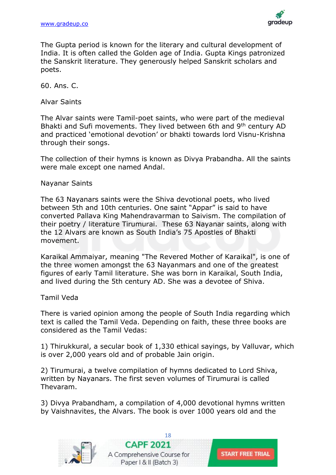![](_page_17_Picture_1.jpeg)

The Gupta period is known for the literary and cultural development of India. It is often called the Golden age of India. Gupta Kings patronized the Sanskrit literature. They generously helped Sanskrit scholars and poets.

60. Ans. C.

Alvar Saints

The Alvar saints were Tamil-poet saints, who were part of the medieval Bhakti and Sufi movements. They lived between 6th and 9<sup>th</sup> century AD and practiced 'emotional devotion' or bhakti towards lord Visnu-Krishna through their songs.

The collection of their hymns is known as Divya Prabandha. All the saints were male except one named Andal.

Nayanar Saints

The 63 Nayanars saints were the Shiva devotional poets, who lived between 5th and 10th centuries. One saint "Appar" is said to have converted Pallava King Mahendravarman to Saivism. The compilation of their poetry / literature Tirumurai. These 63 Nayanar saints, along with the 12 Alvars are known as South India's 75 Apostles of Bhakti movement.

Karaikal Ammaiyar, meaning "The Revered Mother of Karaikal", is one of the three women amongst the 63 Nayanmars and one of the greatest figures of early Tamil literature. She was born in Karaikal, South India, and lived during the 5th century AD. She was a devotee of Shiva.

Tamil Veda

There is varied opinion among the people of South India regarding which text is called the Tamil Veda. Depending on faith, these three books are considered as the Tamil Vedas:

1) Thirukkural, a secular book of 1,330 ethical sayings, by Valluvar, which is over 2,000 years old and of probable Jain origin.

2) Tirumurai, a twelve compilation of hymns dedicated to Lord Shiva, written by Nayanars. The first seven volumes of Tirumurai is called Thevaram.

3) Divya Prabandham, a compilation of 4,000 devotional hymns written by Vaishnavites, the Alvars. The book is over 1000 years old and the

![](_page_17_Picture_15.jpeg)

![](_page_17_Picture_17.jpeg)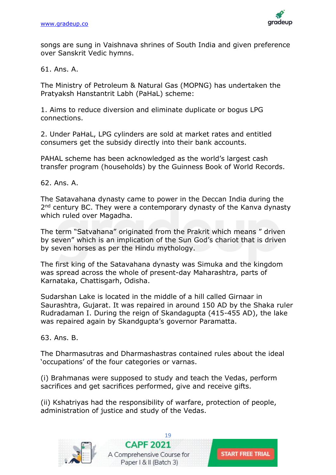![](_page_18_Picture_1.jpeg)

songs are sung in Vaishnava shrines of South India and given preference over Sanskrit Vedic hymns.

61. Ans. A.

The Ministry of Petroleum & Natural Gas (MOPNG) has undertaken the Pratyaksh Hanstantrit Labh (PaHaL) scheme:

1. Aims to reduce diversion and eliminate duplicate or bogus LPG connections.

2. Under PaHaL, LPG cylinders are sold at market rates and entitled consumers get the subsidy directly into their bank accounts.

PAHAL scheme has been acknowledged as the world's largest cash transfer program (households) by the Guinness Book of World Records.

62. Ans. A.

The Satavahana dynasty came to power in the Deccan India during the 2<sup>nd</sup> century BC. They were a contemporary dynasty of the Kanva dynasty which ruled over Magadha.

The term "Satvahana" originated from the Prakrit which means " driven by seven" which is an implication of the Sun God's chariot that is driven by seven horses as per the Hindu mythology.

The first king of the Satavahana dynasty was Simuka and the kingdom was spread across the whole of present-day Maharashtra, parts of Karnataka, Chattisgarh, Odisha.

Sudarshan Lake is located in the middle of a hill called Girnaar in Saurashtra, Gujarat. It was repaired in around 150 AD by the Shaka ruler Rudradaman I. During the reign of Skandagupta (415-455 AD), the lake was repaired again by Skandgupta's governor Paramatta.

63. Ans. B.

The Dharmasutras and Dharmashastras contained rules about the ideal 'occupations' of the four categories or varnas.

(i) Brahmanas were supposed to study and teach the Vedas, perform sacrifices and get sacrifices performed, give and receive gifts.

(ii) Kshatriyas had the responsibility of warfare, protection of people, administration of justice and study of the Vedas.

![](_page_18_Picture_17.jpeg)

![](_page_18_Picture_18.jpeg)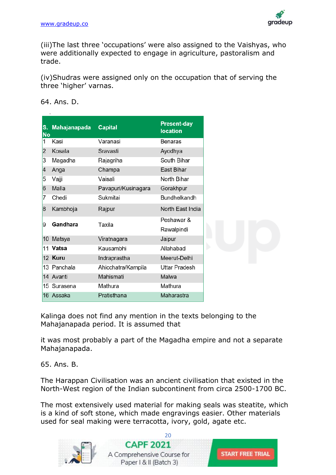![](_page_19_Picture_1.jpeg)

(iii)The last three 'occupations' were also assigned to the Vaishyas, who were additionally expected to engage in agriculture, pastoralism and trade.

(iv)Shudras were assigned only on the occupation that of serving the three 'higher' varnas.

|                          |                     |                     | <b>Present-day</b>   |
|--------------------------|---------------------|---------------------|----------------------|
| S.<br><b>No</b>          | <b>Mahajanapada</b> | <b>Capital</b>      | <b>location</b>      |
| 1                        | Kasi                | Varanasi            | <b>Benaras</b>       |
| $\overline{2}$           | Kosala              | Sravasti            | Ayodhya              |
| 3                        | Magadha             | Rajagriha           | South Bihar          |
| $\overline{\mathcal{A}}$ | Anga                | Champa              | East Bihar           |
| 5                        | Vajji               | Vaisali             | North Bihar          |
| 6                        | Malla               | Pavapuri/Kusinagara | Gorakhpur            |
| 7                        | Chedi               | Sukmitai            | <b>Bundhelkandh</b>  |
| 8                        | Kambhoja            | Rajpur              | North East India     |
| 9                        | Gandhara            | Taxila              | Peshawar &           |
|                          |                     |                     | Rawalpindi           |
| 10                       | Matsya              | Viratnagara         | Jaipur               |
| 11                       | Vatsa               | Kausambhi           | Allahabad            |
|                          | 12 Kuru             | Indraprastha        | Meerut-Delhi         |
|                          | 13 Panchala         | Ahicchatra/Kampila  | <b>Uttar Pradesh</b> |
|                          | 14 Avanti           | Mahismati           | Malwa                |
| 15                       | Surasena            | Mathura             | Mathura              |
| 16                       | Assaka              | Pratisthana         | Maharastra           |

64. Ans. D.

Kalinga does not find any mention in the texts belonging to the Mahajanapada period. It is assumed that

it was most probably a part of the Magadha empire and not a separate Mahajanapada.

65. Ans. B.

The Harappan Civilisation was an ancient civilisation that existed in the North-West region of the Indian subcontinent from circa 2500-1700 BC.

The most extensively used material for making seals was steatite, which is a kind of soft stone, which made engravings easier. Other materials used for seal making were terracotta, ivory, gold, agate etc.

![](_page_19_Picture_11.jpeg)

![](_page_19_Picture_13.jpeg)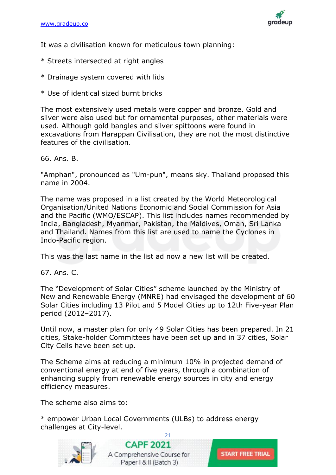![](_page_20_Picture_1.jpeg)

It was a civilisation known for meticulous town planning:

- \* Streets intersected at right angles
- \* Drainage system covered with lids
- \* Use of identical sized burnt bricks

The most extensively used metals were copper and bronze. Gold and silver were also used but for ornamental purposes, other materials were used. Although gold bangles and silver spittoons were found in excavations from Harappan Civilisation, they are not the most distinctive features of the civilisation.

66. Ans. B.

"Amphan", pronounced as "Um-pun", means sky. Thailand proposed this name in 2004.

The name was proposed in a list created by the World Meteorological Organisation/United Nations Economic and Social Commission for Asia and the Pacific (WMO/ESCAP). This list includes names recommended by India, Bangladesh, Myanmar, Pakistan, the Maldives, Oman, Sri Lanka and Thailand. Names from this list are used to name the Cyclones in Indo-Pacific region.

This was the last name in the list ad now a new list will be created.

67. Ans. C.

The "Development of Solar Cities" scheme launched by the Ministry of New and Renewable Energy (MNRE) had envisaged the development of 60 Solar Cities including 13 Pilot and 5 Model Cities up to 12th Five-year Plan period (2012–2017).

Until now, a master plan for only 49 Solar Cities has been prepared. In 21 cities, Stake-holder Committees have been set up and in 37 cities, Solar City Cells have been set up.

The Scheme aims at reducing a minimum 10% in projected demand of conventional energy at end of five years, through a combination of enhancing supply from renewable energy sources in city and energy efficiency measures.

The scheme also aims to:

\* empower Urban Local Governments (ULBs) to address energy challenges at City-level.

![](_page_20_Picture_17.jpeg)

![](_page_20_Picture_18.jpeg)

![](_page_20_Picture_19.jpeg)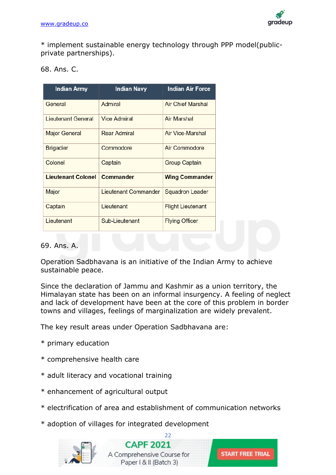![](_page_21_Picture_1.jpeg)

\* implement sustainable energy technology through PPP model(publicprivate partnerships).

| 68. Ans. C. |  |
|-------------|--|
|             |  |

| <b>Indian Army</b>        | <b>Indian Navy</b>   | <b>Indian Air Force</b>  |
|---------------------------|----------------------|--------------------------|
| General                   | Admiral              | <b>Air Chief Marshal</b> |
| Lieutenant General        | Vice Admiral         | Air Marshal              |
| <b>Major General</b>      | Rear Admiral         | Air Vice-Marshal         |
| <b>Brigadier</b>          | Commodore            | Air Commodore            |
| Colonel                   | Captain              | Group Captain            |
| <b>Lieutenant Colonel</b> | <b>Commander</b>     | <b>Wing Commander</b>    |
| Major                     | Lieutenant Commander | <b>Squadron Leader</b>   |
| Captain                   | Lieutenant           | <b>Flight Lieutenant</b> |
| Lieutenant                | Sub-Lieutenant       | <b>Flying Officer</b>    |

# 69. Ans. A.

Operation Sadbhavana is an initiative of the Indian Army to achieve sustainable peace.

Since the declaration of Jammu and Kashmir as a union territory, the Himalayan state has been on an informal insurgency. A feeling of neglect and lack of development have been at the core of this problem in border towns and villages, feelings of marginalization are widely prevalent.

The key result areas under Operation Sadbhavana are:

- \* primary education
- \* comprehensive health care
- \* adult literacy and vocational training
- \* enhancement of agricultural output
- \* electrification of area and establishment of communication networks
- \* adoption of villages for integrated development

![](_page_21_Picture_15.jpeg)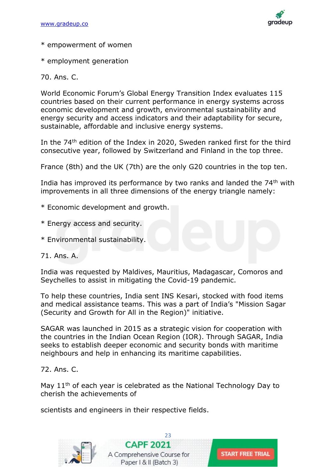![](_page_22_Picture_1.jpeg)

- \* empowerment of women
- \* employment generation

70. Ans. C.

World Economic Forum's Global Energy Transition Index evaluates 115 countries based on their current performance in energy systems across economic development and growth, environmental sustainability and energy security and access indicators and their adaptability for secure, sustainable, affordable and inclusive energy systems.

In the 74th edition of the Index in 2020, Sweden ranked first for the third consecutive year, followed by Switzerland and Finland in the top three.

France (8th) and the UK (7th) are the only G20 countries in the top ten.

India has improved its performance by two ranks and landed the 74<sup>th</sup> with improvements in all three dimensions of the energy triangle namely:

- \* Economic development and growth.
- \* Energy access and security.
- \* Environmental sustainability.
- 71. Ans. A.

India was requested by Maldives, Mauritius, Madagascar, Comoros and Seychelles to assist in mitigating the Covid-19 pandemic.

To help these countries, India sent INS Kesari, stocked with food items and medical assistance teams. This was a part of India's "Mission Sagar (Security and Growth for All in the Region)" initiative.

SAGAR was launched in 2015 as a strategic vision for cooperation with the countries in the Indian Ocean Region (IOR). Through SAGAR, India seeks to establish deeper economic and security bonds with maritime neighbours and help in enhancing its maritime capabilities.

#### 72. Ans. C.

May 11<sup>th</sup> of each year is celebrated as the National Technology Day to cherish the achievements of

scientists and engineers in their respective fields.

![](_page_22_Picture_19.jpeg)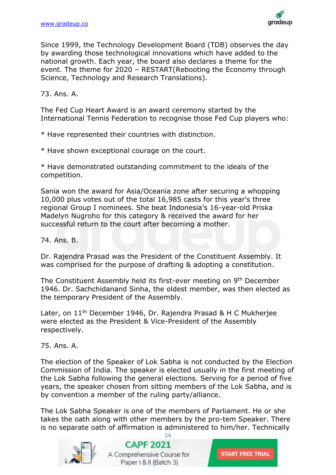![](_page_23_Picture_1.jpeg)

Since 1999, the Technology Development Board (TDB) observes the day by awarding those technological innovations which have added to the national growth. Each year, the board also declares a theme for the event. The theme for 2020 – RESTART(Rebooting the Economy through Science, Technology and Research Translations).

# 73. Ans. A.

The Fed Cup Heart Award is an award ceremony started by the International Tennis Federation to recognise those Fed Cup players who:

\* Have represented their countries with distinction.

\* Have shown exceptional courage on the court.

\* Have demonstrated outstanding commitment to the ideals of the competition.

Sania won the award for Asia/Oceania zone after securing a whopping 10,000 plus votes out of the total 16,985 casts for this year's three regional Group I nominees. She beat Indonesia's 16-year-old Priska Madelyn Nugroho for this category & received the award for her successful return to the court after becoming a mother.

74. Ans. B.

Dr. Rajendra Prasad was the President of the Constituent Assembly. It was comprised for the purpose of drafting & adopting a constitution.

The Constituent Assembly held its first-ever meeting on 9<sup>th</sup> December 1946. Dr. Sachchidanand Sinha, the oldest member, was then elected as the temporary President of the Assembly.

Later, on 11<sup>th</sup> December 1946, Dr. Rajendra Prasad & H C Mukherjee were elected as the President & Vice-President of the Assembly respectively.

75. Ans. A.

The election of the Speaker of Lok Sabha is not conducted by the Election Commission of India. The speaker is elected usually in the first meeting of the Lok Sabha following the general elections. Serving for a period of five years, the speaker chosen from sitting members of the Lok Sabha, and is by convention a member of the ruling party/alliance.

The Lok Sabha Speaker is one of the members of Parliament. He or she takes the oath along with other members by the pro-tem Speaker. There is no separate oath of affirmation is administered to him/her. Technically

 $24$ 

![](_page_23_Picture_16.jpeg)

**CAPF 2021** A Comprehensive Course for Paper | & II (Batch 3)

![](_page_23_Picture_18.jpeg)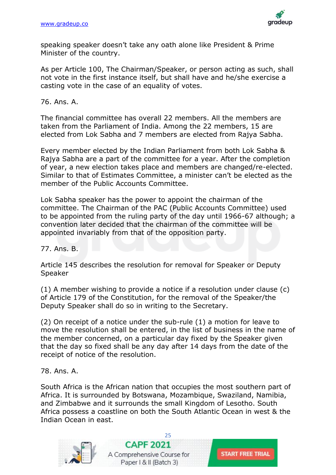![](_page_24_Picture_1.jpeg)

speaking speaker doesn't take any oath alone like President & Prime Minister of the country.

As per Article 100, The Chairman/Speaker, or person acting as such, shall not vote in the first instance itself, but shall have and he/she exercise a casting vote in the case of an equality of votes.

76. Ans. A.

The financial committee has overall 22 members. All the members are taken from the Parliament of India. Among the 22 members, 15 are elected from Lok Sabha and 7 members are elected from Rajya Sabha.

Every member elected by the Indian Parliament from both Lok Sabha & Rajya Sabha are a part of the committee for a year. After the completion of year, a new election takes place and members are changed/re-elected. Similar to that of Estimates Committee, a minister can't be elected as the member of the Public Accounts Committee.

Lok Sabha speaker has the power to appoint the chairman of the committee. The Chairman of the PAC (Public Accounts Committee) used to be appointed from the ruling party of the day until 1966-67 although; a convention later decided that the chairman of the committee will be appointed invariably from that of the opposition party.

77. Ans. B.

Article 145 describes the resolution for removal for Speaker or Deputy Speaker

(1) A member wishing to provide a notice if a resolution under clause (c) of Article 179 of the Constitution, for the removal of the Speaker/the Deputy Speaker shall do so in writing to the Secretary.

(2) On receipt of a notice under the sub-rule (1) a motion for leave to move the resolution shall be entered, in the list of business in the name of the member concerned, on a particular day fixed by the Speaker given that the day so fixed shall be any day after 14 days from the date of the receipt of notice of the resolution.

78. Ans. A.

South Africa is the African nation that occupies the most southern part of Africa. It is surrounded by Botswana, Mozambique, Swaziland, Namibia, and Zimbabwe and it surrounds the small Kingdom of Lesotho. South Africa possess a coastline on both the South Atlantic Ocean in west & the Indian Ocean in east.

![](_page_24_Picture_14.jpeg)

![](_page_24_Picture_16.jpeg)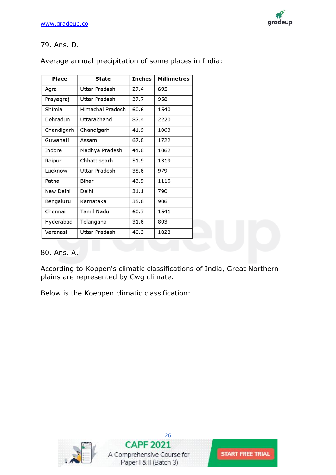![](_page_25_Picture_1.jpeg)

# 79. Ans. D.

Average annual precipitation of some places in India:

| Place      | <b>State</b>     | <b>Inches</b> | <b>Millimetres</b> |
|------------|------------------|---------------|--------------------|
| Agra       | Uttar Pradesh    | 27.4          | 695                |
| Prayagraj  | Uttar Pradesh    | 37.7          | 958                |
| Shimla     | Himachal Pradesh | 60.6          | 1540               |
| Dehradun   | Uttarakhand      | 87.4          | 2220               |
| Chandigarh | Chandigarh       | 41.9          | 1063               |
| Guwahati   | Assam            | 67.8          | 1722               |
| Indore     | Madhya Pradesh   | 41.8          | 1062               |
| Raipur     | Chhattisgarh     | 51.9          | 1319               |
| Lucknow    | Uttar Pradesh    | 38.6          | 979                |
| Patna      | Bihar            | 43.9          | 1116               |
| New Delhi  | Delhi            | 31.1          | 790                |
| Bengaluru  | Karnataka        | 35.6          | 906                |
| Chennai    | Tamil Nadu       | 60.7          | 1541               |
| Hyderabad  | Telangana        | 31.6          | 803                |
| Varanasi   | Uttar Pradesh    | 40.3          | 1023               |

#### 80. Ans. A.

According to Koppen's climatic classifications of India, Great Northern plains are represented by Cwg climate.

Below is the Koeppen climatic classification:

![](_page_25_Picture_8.jpeg)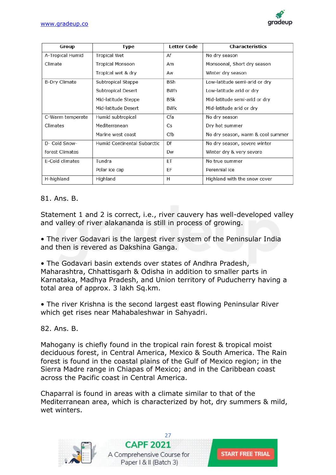![](_page_26_Picture_1.jpeg)

| Group                | <b>Type</b>                 | <b>Letter Code</b> | <b>Characteristics</b>            |
|----------------------|-----------------------------|--------------------|-----------------------------------|
| A-Tropical Humid     | Tropical Wet                | Af                 | No dry season                     |
| Climate              | <b>Tropical Monsoon</b>     | Am                 | Monsoonal, Short dry season       |
|                      | Tropical wet & dry          | Aw                 | Winter dry season                 |
| <b>B-Dry Climate</b> | Subtropical Steppe          | BSh                | Low-latitude semi-arid or dry     |
|                      | Subtropical Desert          | BWh                | Low-latitude arid or dry          |
|                      | Mid-latitude Steppe         | BSk                | Mid-latitude semi-arid or dry     |
|                      | Mid-latitude Desert         | <b>BWk</b>         | Mid-latitude arid or dry          |
| C-Warm temperate     | Humid subtropical           | Cfa                | No dry season                     |
| Climates             | Mediterranean               | Cs                 | Dry hot summer                    |
|                      | Marine west coast           | Cfb                | No dry season, warm & cool summer |
| D- Cold Snow-        | Humid Continental Subarctic | Df                 | No dry season, severe winter      |
| forest Climates      |                             | Dw                 | Winter dry & very severe          |
| E-Cold climates      | Tundra                      | ET                 | No true summer                    |
|                      | Polar ice cap               | EF                 | Perennial ice                     |
| H-highland           | Highland                    | Н                  | Highland with the snow cover      |

# 81. Ans. B.

Statement 1 and 2 is correct, i.e., river cauvery has well-developed valley and valley of river alakananda is still in process of growing.

• The river Godavari is the largest river system of the Peninsular India and then is revered as Dakshina Ganga.

• The Godavari basin extends over states of Andhra Pradesh, Maharashtra, Chhattisgarh & Odisha in addition to smaller parts in Karnataka, Madhya Pradesh, and Union territory of Puducherry having a total area of approx. 3 lakh Sq.km.

• The river Krishna is the second largest east flowing Peninsular River which get rises near Mahabaleshwar in Sahyadri.

82. Ans. B.

Mahogany is chiefly found in the tropical rain forest & tropical moist deciduous forest, in Central America, Mexico & South America. The Rain forest is found in the coastal plains of the Gulf of Mexico region; in the Sierra Madre range in Chiapas of Mexico; and in the Caribbean coast across the Pacific coast in Central America.

Chaparral is found in areas with a climate similar to that of the Mediterranean area, which is characterized by hot, dry summers & mild, wet winters.

![](_page_26_Picture_11.jpeg)

![](_page_26_Picture_12.jpeg)

![](_page_26_Picture_13.jpeg)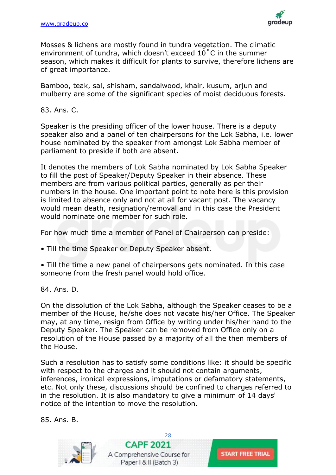![](_page_27_Picture_1.jpeg)

Mosses & lichens are mostly found in tundra vegetation. The climatic environment of tundra, which doesn't exceed 10˚C in the summer season, which makes it difficult for plants to survive, therefore lichens are of great importance.

Bamboo, teak, sal, shisham, sandalwood, khair, kusum, arjun and mulberry are some of the significant species of moist deciduous forests.

83. Ans. C.

Speaker is the presiding officer of the lower house. There is a deputy speaker also and a panel of ten chairpersons for the Lok Sabha, i.e. lower house nominated by the speaker from amongst Lok Sabha member of parliament to preside if both are absent.

It denotes the members of Lok Sabha nominated by Lok Sabha Speaker to fill the post of Speaker/Deputy Speaker in their absence. These members are from various political parties, generally as per their numbers in the house. One important point to note here is this provision is limited to absence only and not at all for vacant post. The vacancy would mean death, resignation/removal and in this case the President would nominate one member for such role.

For how much time a member of Panel of Chairperson can preside:

• Till the time Speaker or Deputy Speaker absent.

• Till the time a new panel of chairpersons gets nominated. In this case someone from the fresh panel would hold office.

84. Ans. D.

On the dissolution of the Lok Sabha, although the Speaker ceases to be a member of the House, he/she does not vacate his/her Office. The Speaker may, at any time, resign from Office by writing under his/her hand to the Deputy Speaker. The Speaker can be removed from Office only on a resolution of the House passed by a majority of all the then members of the House.

Such a resolution has to satisfy some conditions like: it should be specific with respect to the charges and it should not contain arguments, inferences, ironical expressions, imputations or defamatory statements, etc. Not only these, discussions should be confined to charges referred to in the resolution. It is also mandatory to give a minimum of 14 days' notice of the intention to move the resolution.

85. Ans. B.

![](_page_27_Picture_14.jpeg)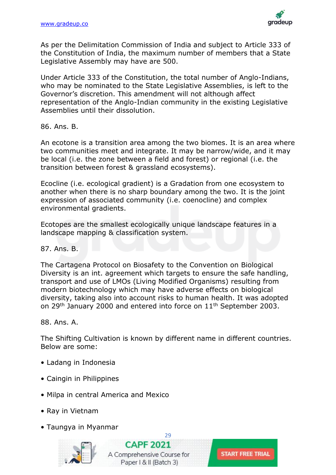![](_page_28_Picture_1.jpeg)

As per the Delimitation Commission of India and subject to Article 333 of the Constitution of India, the maximum number of members that a State Legislative Assembly may have are 500.

Under Article 333 of the Constitution, the total number of Anglo-Indians, who may be nominated to the State Legislative Assemblies, is left to the Governor's discretion. This amendment will not although affect representation of the Anglo-Indian community in the existing Legislative Assemblies until their dissolution.

86. Ans. B.

An ecotone is a transition area among the two biomes. It is an area where two communities meet and integrate. It may be narrow/wide, and it may be local (i.e. the zone between a field and forest) or regional (i.e. the transition between forest & grassland ecosystems).

Ecocline (i.e. ecological gradient) is a Gradation from one ecosystem to another when there is no sharp boundary among the two. It is the joint expression of associated community (i.e. coenocline) and complex environmental gradients.

Ecotopes are the smallest ecologically unique landscape features in a landscape mapping & classification system.

87. Ans. B.

The Cartagena Protocol on Biosafety to the Convention on Biological Diversity is an int. agreement which targets to ensure the safe handling, transport and use of LMOs (Living Modified Organisms) resulting from modern biotechnology which may have adverse effects on biological diversity, taking also into account risks to human health. It was adopted on 29<sup>th</sup> January 2000 and entered into force on 11<sup>th</sup> September 2003.

88. Ans. A.

The Shifting Cultivation is known by different name in different countries. Below are some:

[29](https://gradeup.co/courses/capf-online-course-b3)

- Ladang in Indonesia
- Caingin in Philippines
- Milpa in central America and Mexico
- Ray in Vietnam
- Taungya in Myanmar

![](_page_28_Picture_17.jpeg)

**CAPF 2021** A Comprehensive Course for Paper | & II (Batch 3)

![](_page_28_Picture_19.jpeg)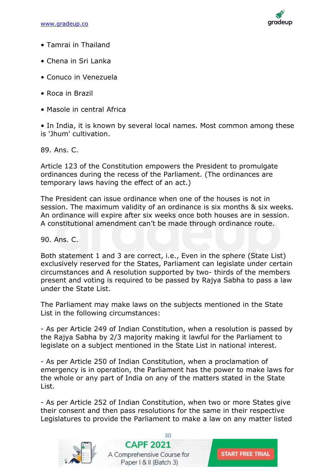![](_page_29_Picture_1.jpeg)

- Tamrai in Thailand
- Chena in Sri Lanka
- Conuco in Venezuela
- Roca in Brazil
- Masole in central Africa

• In India, it is known by several local names. Most common among these is 'Jhum' cultivation.

89. Ans. C.

Article 123 of the Constitution empowers the President to promulgate ordinances during the recess of the Parliament. (The ordinances are temporary laws having the effect of an act.)

The President can issue ordinance when one of the houses is not in session. The maximum validity of an ordinance is six months & six weeks. An ordinance will expire after six weeks once both houses are in session. A constitutional amendment can't be made through ordinance route.

90. Ans. C.

Both statement 1 and 3 are correct, i.e., Even in the sphere (State List) exclusively reserved for the States, Parliament can legislate under certain circumstances and A resolution supported by two- thirds of the members present and voting is required to be passed by Rajya Sabha to pass a law under the State List.

The Parliament may make laws on the subjects mentioned in the State List in the following circumstances:

- As per Article 249 of Indian Constitution, when a resolution is passed by the Rajya Sabha by 2/3 majority making it lawful for the Parliament to legislate on a subject mentioned in the State List in national interest.

- As per Article 250 of Indian Constitution, when a proclamation of emergency is in operation, the Parliament has the power to make laws for the whole or any part of India on any of the matters stated in the State List.

- As per Article 252 of Indian Constitution, when two or more States give their consent and then pass resolutions for the same in their respective Legislatures to provide the Parliament to make a law on any matter listed

![](_page_29_Picture_17.jpeg)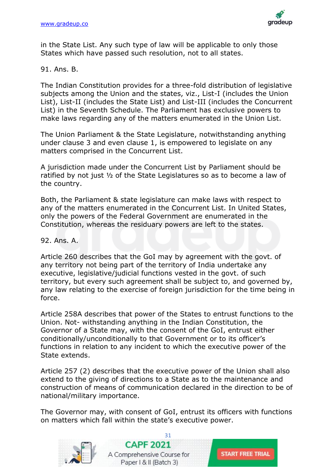![](_page_30_Picture_1.jpeg)

in the State List. Any such type of law will be applicable to only those States which have passed such resolution, not to all states.

#### 91. Ans. B.

The Indian Constitution provides for a three-fold distribution of legislative subjects among the Union and the states, viz., List-I (includes the Union List), List-II (includes the State List) and List-III (includes the Concurrent List) in the Seventh Schedule. The Parliament has exclusive powers to make laws regarding any of the matters enumerated in the Union List.

The Union Parliament & the State Legislature, notwithstanding anything under clause 3 and even clause 1, is empowered to legislate on any matters comprised in the Concurrent List.

A jurisdiction made under the Concurrent List by Parliament should be ratified by not just ½ of the State Legislatures so as to become a law of the country.

Both, the Parliament & state legislature can make laws with respect to any of the matters enumerated in the Concurrent List. In United States, only the powers of the Federal Government are enumerated in the Constitution, whereas the residuary powers are left to the states.

92. Ans. A.

Article 260 describes that the GoI may by agreement with the govt. of any territory not being part of the territory of India undertake any executive, legislative/judicial functions vested in the govt. of such territory, but every such agreement shall be subject to, and governed by, any law relating to the exercise of foreign jurisdiction for the time being in force.

Article 258A describes that power of the States to entrust functions to the Union. Not- withstanding anything in the Indian Constitution, the Governor of a State may, with the consent of the GoI, entrust either conditionally/unconditionally to that Government or to its officer's functions in relation to any incident to which the executive power of the State extends.

Article 257 (2) describes that the executive power of the Union shall also extend to the giving of directions to a State as to the maintenance and construction of means of communication declared in the direction to be of national/military importance.

The Governor may, with consent of GoI, entrust its officers with functions on matters which fall within the state's executive power.

![](_page_30_Picture_13.jpeg)

[31](https://gradeup.co/courses/capf-online-course-b3) **CAPF 2021** A Comprehensive Course for Paper | & II (Batch 3)

![](_page_30_Picture_15.jpeg)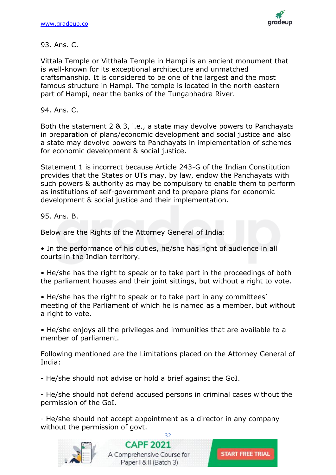![](_page_31_Picture_1.jpeg)

#### 93. Ans. C.

Vittala Temple or Vitthala Temple in Hampi is an ancient monument that is well-known for its exceptional architecture and unmatched craftsmanship. It is considered to be one of the largest and the most famous structure in Hampi. The temple is located in the north eastern part of Hampi, near the banks of the Tungabhadra River.

94. Ans. C.

Both the statement 2 & 3, i.e., a state may devolve powers to Panchayats in preparation of plans/economic development and social justice and also a state may devolve powers to Panchayats in implementation of schemes for economic development & social justice.

Statement 1 is incorrect because Article 243-G of the Indian Constitution provides that the States or UTs may, by law, endow the Panchayats with such powers & authority as may be compulsory to enable them to perform as institutions of self-government and to prepare plans for economic development & social justice and their implementation.

95. Ans. B.

Below are the Rights of the Attorney General of India:

• In the performance of his duties, he/she has right of audience in all courts in the Indian territory.

• He/she has the right to speak or to take part in the proceedings of both the parliament houses and their joint sittings, but without a right to vote.

• He/she has the right to speak or to take part in any committees' meeting of the Parliament of which he is named as a member, but without a right to vote.

• He/she enjoys all the privileges and immunities that are available to a member of parliament.

Following mentioned are the Limitations placed on the Attorney General of India:

- He/she should not advise or hold a brief against the GoI.

- He/she should not defend accused persons in criminal cases without the permission of the GoI.

- He/she should not accept appointment as a director in any company without the permission of govt.

![](_page_31_Picture_17.jpeg)

[32](https://gradeup.co/courses/capf-online-course-b3) **CAPF 2021** A Comprehensive Course for Paper | & II (Batch 3)

![](_page_31_Picture_19.jpeg)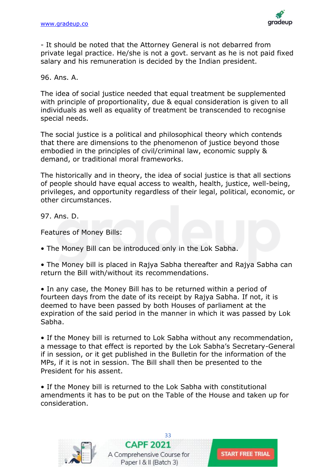![](_page_32_Picture_1.jpeg)

- It should be noted that the Attorney General is not debarred from private legal practice. He/she is not a govt. servant as he is not paid fixed salary and his remuneration is decided by the Indian president.

#### 96. Ans. A.

The idea of social justice needed that equal treatment be supplemented with principle of proportionality, due & equal consideration is given to all individuals as well as equality of treatment be transcended to recognise special needs.

The social justice is a political and philosophical theory which contends that there are dimensions to the phenomenon of justice beyond those embodied in the principles of civil/criminal law, economic supply & demand, or traditional moral frameworks.

The historically and in theory, the idea of social justice is that all sections of people should have equal access to wealth, health, justice, well-being, privileges, and opportunity regardless of their legal, political, economic, or other circumstances.

97. Ans. D.

Features of Money Bills:

• The Money Bill can be introduced only in the Lok Sabha.

• The Money bill is placed in Rajya Sabha thereafter and Rajya Sabha can return the Bill with/without its recommendations.

• In any case, the Money Bill has to be returned within a period of fourteen days from the date of its receipt by Rajya Sabha. If not, it is deemed to have been passed by both Houses of parliament at the expiration of the said period in the manner in which it was passed by Lok Sabha.

• If the Money bill is returned to Lok Sabha without any recommendation, a message to that effect is reported by the Lok Sabha's Secretary-General if in session, or it get published in the Bulletin for the information of the MPs, if it is not in session. The Bill shall then be presented to the President for his assent.

• If the Money bill is returned to the Lok Sabha with constitutional amendments it has to be put on the Table of the House and taken up for consideration.

![](_page_32_Picture_14.jpeg)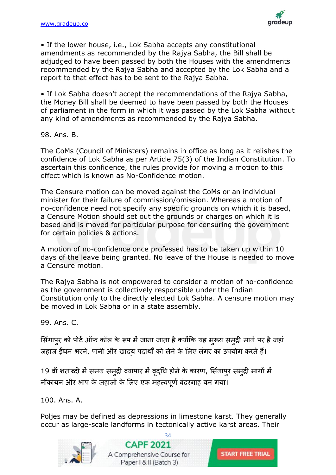![](_page_33_Picture_1.jpeg)

• If the lower house, i.e., Lok Sabha accepts any constitutional amendments as recommended by the Rajya Sabha, the Bill shall be adjudged to have been passed by both the Houses with the amendments recommended by the Rajya Sabha and accepted by the Lok Sabha and a report to that effect has to be sent to the Rajya Sabha.

• If Lok Sabha doesn't accept the recommendations of the Rajya Sabha, the Money Bill shall be deemed to have been passed by both the Houses of parliament in the form in which it was passed by the Lok Sabha without any kind of amendments as recommended by the Rajya Sabha.

98. Ans. B.

The CoMs (Council of Ministers) remains in office as long as it relishes the confidence of Lok Sabha as per Article 75(3) of the Indian Constitution. To ascertain this confidence, the rules provide for moving a motion to this effect which is known as No-Confidence motion.

The Censure motion can be moved against the CoMs or an individual minister for their failure of commission/omission. Whereas a motion of no-confidence need not specify any specific grounds on which it is based, a Censure Motion should set out the grounds or charges on which it is based and is moved for particular purpose for censuring the government for certain policies & actions.

A motion of no-confidence once professed has to be taken up within 10 days of the leave being granted. No leave of the House is needed to move a Censure motion.

The Rajya Sabha is not empowered to consider a motion of no-confidence as the government is collectively responsible under the Indian Constitution only to the directly elected Lok Sabha. A censure motion may be moved in Lok Sabha or in a state assembly.

99. Ans. C.

सिंगापुर को पोर्ट ऑफ कॉल के रूप में जाना जाता है क्योंकि यह मुख्य समुद्री मार्ग पर है जहां जहाज ईंधन भरने, पानी और खाद्य पदार्थों को लेनेके सलए लिंगर का उपयोग करतेहैं।

19 वीं शताब्दी में समग्र समुद्री व्यापार में वृद्धि होने के कारण, सिंगापुर समुद्री मार्गों में नौकायन और भाप के जहाजों के लिए एक महत्वपूर्ण बंदरगाह बन गया।

100. Ans. A.

Poljes may be defined as depressions in limestone karst. They generally occur as large-scale landforms in tectonically active karst areas. Their

[34](https://gradeup.co/courses/capf-online-course-b3)

![](_page_33_Picture_14.jpeg)

**CAPF 2021** A Comprehensive Course for Paper | & II (Batch 3)

![](_page_33_Picture_16.jpeg)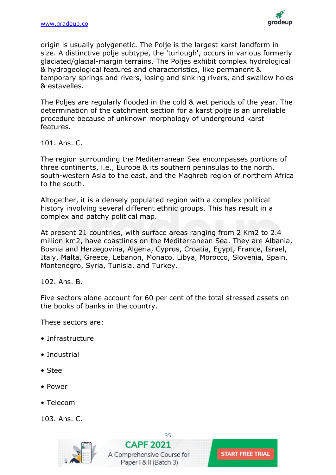![](_page_34_Picture_1.jpeg)

origin is usually polygenetic. The Polje is the largest karst landform in size. A distinctive polje subtype, the 'turlough', occurs in various formerly glaciated/glacial-margin terrains. The Poljes exhibit complex hydrological & hydrogeological features and characteristics, like permanent & temporary springs and rivers, losing and sinking rivers, and swallow holes & estavelles.

The Poljes are regularly flooded in the cold & wet periods of the year. The determination of the catchment section for a karst polje is an unreliable procedure because of unknown morphology of underground karst features.

101. Ans. C.

The region surrounding the Mediterranean Sea encompasses portions of three continents, i.e., Europe & its southern peninsulas to the north, south-western Asia to the east, and the Maghreb region of northern Africa to the south.

Altogether, it is a densely populated region with a complex political history involving several different ethnic groups. This has result in a complex and patchy political map.

At present 21 countries, with surface areas ranging from 2 Km2 to 2.4 million km2, have coastlines on the Mediterranean Sea. They are Albania, Bosnia and Herzegovina, Algeria, Cyprus, Croatia, Egypt, France, Israel, Italy, Malta, Greece, Lebanon, Monaco, Libya, Morocco, Slovenia, Spain, Montenegro, Syria, Tunisia, and Turkey.

102. Ans. B.

Five sectors alone account for 60 per cent of the total stressed assets on the books of banks in the country.

These sectors are:

- Infrastructure
- Industrial
- Steel
- Power
- Telecom

103. Ans. C.

![](_page_34_Picture_17.jpeg)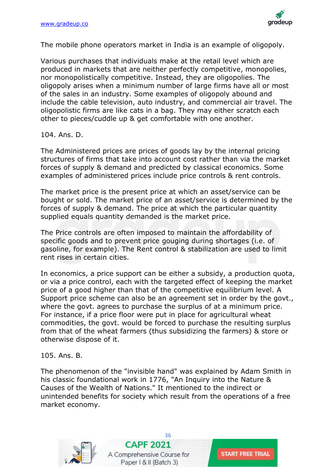![](_page_35_Picture_1.jpeg)

The mobile phone operators market in India is an example of oligopoly.

Various purchases that individuals make at the retail level which are produced in markets that are neither perfectly competitive, monopolies, nor monopolistically competitive. Instead, they are oligopolies. The oligopoly arises when a minimum number of large firms have all or most of the sales in an industry. Some examples of oligopoly abound and include the cable television, auto industry, and commercial air travel. The oligopolistic firms are like cats in a bag. They may either scratch each other to pieces/cuddle up & get comfortable with one another.

#### 104. Ans. D.

The Administered prices are prices of goods lay by the internal pricing structures of firms that take into account cost rather than via the market forces of supply & demand and predicted by classical economics. Some examples of administered prices include price controls & rent controls.

The market price is the present price at which an asset/service can be bought or sold. The market price of an asset/service is determined by the forces of supply & demand. The price at which the particular quantity supplied equals quantity demanded is the market price.

The Price controls are often imposed to maintain the affordability of specific goods and to prevent price gouging during shortages (i.e. of gasoline, for example). The Rent control & stabilization are used to limit rent rises in certain cities.

In economics, a price support can be either a subsidy, a production quota, or via a price control, each with the targeted effect of keeping the market price of a good higher than that of the competitive equilibrium level. A Support price scheme can also be an agreement set in order by the govt., where the govt. agrees to purchase the surplus of at a minimum price. For instance, if a price floor were put in place for agricultural wheat commodities, the govt. would be forced to purchase the resulting surplus from that of the wheat farmers (thus subsidizing the farmers) & store or otherwise dispose of it.

#### 105. Ans. B.

The phenomenon of the "invisible hand" was explained by Adam Smith in his classic foundational work in 1776, "An Inquiry into the Nature & Causes of the Wealth of Nations." It mentioned to the indirect or unintended benefits for society which result from the operations of a free market economy.

![](_page_35_Picture_11.jpeg)

[36](https://gradeup.co/courses/capf-online-course-b3) **CAPF 2021** A Comprehensive Course for Paper | & II (Batch 3)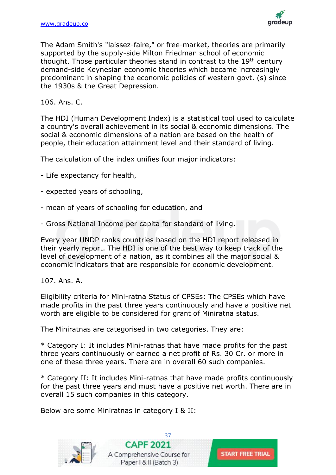![](_page_36_Picture_1.jpeg)

The Adam Smith's "laissez-faire," or free-market, theories are primarily supported by the supply-side Milton Friedman school of economic thought. Those particular theories stand in contrast to the 19<sup>th</sup> century demand-side Keynesian economic theories which became increasingly predominant in shaping the economic policies of western govt. (s) since the 1930s & the Great Depression.

106. Ans. C.

The HDI (Human Development Index) is a statistical tool used to calculate a country's overall achievement in its social & economic dimensions. The social & economic dimensions of a nation are based on the health of people, their education attainment level and their standard of living.

The calculation of the index unifies four major indicators:

- Life expectancy for health,
- expected years of schooling,
- mean of years of schooling for education, and
- Gross National Income per capita for standard of living.

Every year UNDP ranks countries based on the HDI report released in their yearly report. The HDI is one of the best way to keep track of the level of development of a nation, as it combines all the major social & economic indicators that are responsible for economic development.

107. Ans. A.

Eligibility criteria for Mini-ratna Status of CPSEs: The CPSEs which have made profits in the past three years continuously and have a positive net worth are eligible to be considered for grant of Miniratna status.

The Miniratnas are categorised in two categories. They are:

\* Category I: It includes Mini-ratnas that have made profits for the past three years continuously or earned a net profit of Rs. 30 Cr. or more in one of these three years. There are in overall 60 such companies.

\* Category II: It includes Mini-ratnas that have made profits continuously for the past three years and must have a positive net worth. There are in overall 15 such companies in this category.

Below are some Miniratnas in category I & II:

![](_page_36_Picture_17.jpeg)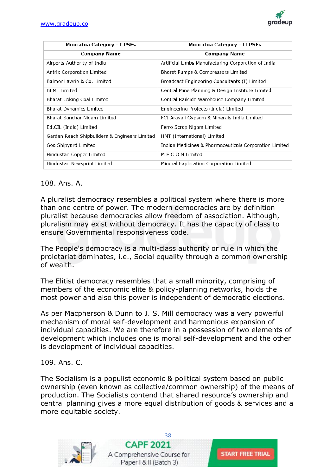![](_page_37_Picture_1.jpeg)

| Miniratna Category - I PSEs                   | Miniratna Category - II PSEs                           |
|-----------------------------------------------|--------------------------------------------------------|
| <b>Company Name</b>                           | <b>Company Name</b>                                    |
| Airports Authority of India                   | Artificial Limbs Manufacturing Corporation of India    |
| Antrix Corporation Limited                    | Bharat Pumps & Compressors Limited                     |
| Balmer Lawrie & Co. Limited                   | Broadcast Engineering Consultants (I) Limited          |
| <b>BEML Limited</b>                           | Central Mine Planning & Design Institute Limited       |
| Bharat Coking Coal Limited                    | Central Railside Warehouse Company Limited             |
| Bharat Dynamics Limited                       | Engineering Projects (India) Limited                   |
| Bharat Sanchar Nigam Limited                  | FCI Aravali Gypsum & Minerals India Limited            |
| Ed.CIL (India) Limited                        | Ferro Scrap Nigam Limited                              |
| Garden Reach Shipbuilders & Engineers Limited | HMT (International) Limited                            |
| Goa Shipyard Limited                          | Indian Medicines & Pharmaceuticals Corporation Limited |
| Hindustan Copper Limited                      | M E C O N Limited                                      |
| Hindustan Newsprint Limited                   | Mineral Exploration Corporation Limited                |

#### 108. Ans. A.

A pluralist democracy resembles a political system where there is more than one centre of power. The modern democracies are by definition pluralist because democracies allow freedom of association. Although, pluralism may exist without democracy. It has the capacity of class to ensure Governmental responsiveness code.

The People's democracy is a multi-class authority or rule in which the proletariat dominates, i.e., Social equality through a common ownership of wealth.

The Elitist democracy resembles that a small minority, comprising of members of the economic elite & policy-planning networks, holds the most power and also this power is independent of democratic elections.

As per Macpherson & Dunn to J. S. Mill democracy was a very powerful mechanism of moral self-development and harmonious expansion of individual capacities. We are therefore in a possession of two elements of development which includes one is moral self-development and the other is development of individual capacities.

#### 109. Ans. C.

The Socialism is a populist economic & political system based on public ownership (even known as collective/common ownership) of the means of production. The Socialists contend that shared resource's ownership and central planning gives a more equal distribution of goods & services and a more equitable society.

![](_page_37_Picture_10.jpeg)

![](_page_37_Picture_12.jpeg)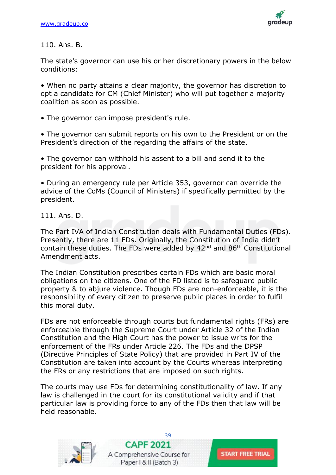![](_page_38_Picture_1.jpeg)

110. Ans. B.

The state's governor can use his or her discretionary powers in the below conditions:

• When no party attains a clear majority, the governor has discretion to opt a candidate for CM (Chief Minister) who will put together a majority coalition as soon as possible.

• The governor can impose president's rule.

• The governor can submit reports on his own to the President or on the President's direction of the regarding the affairs of the state.

• The governor can withhold his assent to a bill and send it to the president for his approval.

• During an emergency rule per Article 353, governor can override the advice of the CoMs (Council of Ministers) if specifically permitted by the president.

111. Ans. D.

The Part IVA of Indian Constitution deals with Fundamental Duties (FDs). Presently, there are 11 FDs. Originally, the Constitution of India didn't contain these duties. The FDs were added by 42nd and 86th Constitutional Amendment acts.

The Indian Constitution prescribes certain FDs which are basic moral obligations on the citizens. One of the FD listed is to safeguard public property & to abjure violence. Though FDs are non-enforceable, it is the responsibility of every citizen to preserve public places in order to fulfil this moral duty.

FDs are not enforceable through courts but fundamental rights (FRs) are enforceable through the Supreme Court under Article 32 of the Indian Constitution and the High Court has the power to issue writs for the enforcement of the FRs under Article 226. The FDs and the DPSP (Directive Principles of State Policy) that are provided in Part IV of the Constitution are taken into account by the Courts whereas interpreting the FRs or any restrictions that are imposed on such rights.

The courts may use FDs for determining constitutionality of law. If any law is challenged in the court for its constitutional validity and if that particular law is providing force to any of the FDs then that law will be held reasonable.

![](_page_38_Picture_14.jpeg)

[39](https://gradeup.co/courses/capf-online-course-b3) **CAPF 2021** A Comprehensive Course for Paper | & II (Batch 3)

**START FREE TRIAL**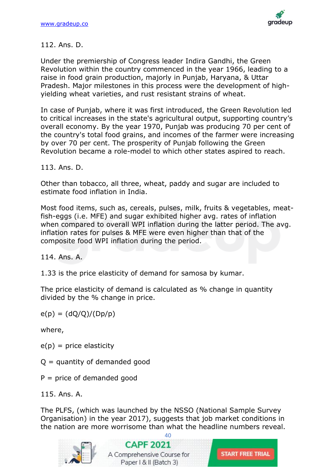![](_page_39_Picture_1.jpeg)

# 112. Ans. D.

Under the premiership of Congress leader Indira Gandhi, the Green Revolution within the country commenced in the year 1966, leading to a raise in food grain production, majorly in Punjab, Haryana, & Uttar Pradesh. Major milestones in this process were the development of highyielding wheat varieties, and rust resistant strains of wheat.

In case of Punjab, where it was first introduced, the Green Revolution led to critical increases in the state's agricultural output, supporting country's overall economy. By the year 1970, Punjab was producing 70 per cent of the country's total food grains, and incomes of the farmer were increasing by over 70 per cent. The prosperity of Punjab following the Green Revolution became a role-model to which other states aspired to reach.

113. Ans. D.

Other than tobacco, all three, wheat, paddy and sugar are included to estimate food inflation in India.

Most food items, such as, cereals, pulses, milk, fruits & vegetables, meatfish-eggs (i.e. MFE) and sugar exhibited higher avg. rates of inflation when compared to overall WPI inflation during the latter period. The avg. inflation rates for pulses & MFE were even higher than that of the composite food WPI inflation during the period.

114. Ans. A.

1.33 is the price elasticity of demand for samosa by kumar.

The price elasticity of demand is calculated as % change in quantity divided by the % change in price.

 $e(p) = (dQ/Q)/(Dp/p)$ 

where,

 $e(p)$  = price elasticity

- $Q =$  quantity of demanded good
- $P =$  price of demanded good
- 115. Ans. A.

The PLFS, (which was launched by the NSSO (National Sample Survey Organisation) in the year 2017), suggests that job market conditions in the nation are more worrisome than what the headline numbers reveal.

![](_page_39_Picture_18.jpeg)

 $40$ 

**CAPF 2021** A Comprehensive Course for Paper | & II (Batch 3)

![](_page_39_Picture_21.jpeg)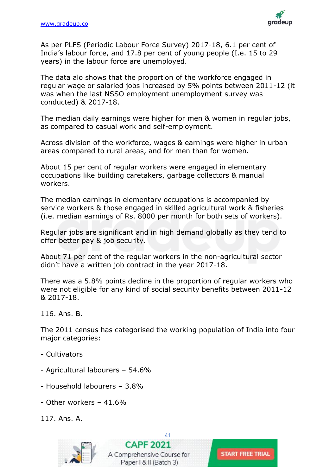![](_page_40_Picture_1.jpeg)

As per PLFS (Periodic Labour Force Survey) 2017-18, 6.1 per cent of India's labour force, and 17.8 per cent of young people (I.e. 15 to 29 years) in the labour force are unemployed.

The data alo shows that the proportion of the workforce engaged in regular wage or salaried jobs increased by 5% points between 2011-12 (it was when the last NSSO employment unemployment survey was conducted) & 2017-18.

The median daily earnings were higher for men & women in regular jobs, as compared to casual work and self-employment.

Across division of the workforce, wages & earnings were higher in urban areas compared to rural areas, and for men than for women.

About 15 per cent of regular workers were engaged in elementary occupations like building caretakers, garbage collectors & manual workers.

The median earnings in elementary occupations is accompanied by service workers & those engaged in skilled agricultural work & fisheries (i.e. median earnings of Rs. 8000 per month for both sets of workers).

Regular jobs are significant and in high demand globally as they tend to offer better pay & job security.

About 71 per cent of the regular workers in the non-agricultural sector didn't have a written job contract in the year 2017-18.

There was a 5.8% points decline in the proportion of regular workers who were not eligible for any kind of social security benefits between 2011-12 & 2017-18.

116. Ans. B.

The 2011 census has categorised the working population of India into four major categories:

- Cultivators
- Agricultural labourers 54.6%
- Household labourers 3.8%
- Other workers 41.6%

117. Ans. A.

![](_page_40_Picture_18.jpeg)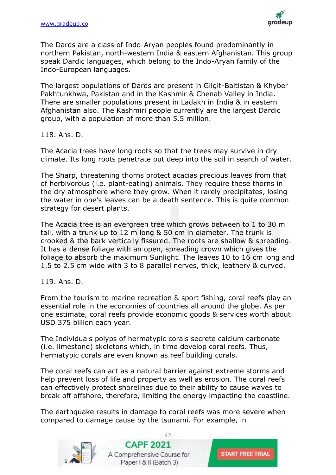![](_page_41_Picture_1.jpeg)

The Dards are a class of Indo-Aryan peoples found predominantly in northern Pakistan, north-western India & eastern Afghanistan. This group speak Dardic languages, which belong to the Indo-Aryan family of the Indo-European languages.

The largest populations of Dards are present in Gilgit-Baltistan & Khyber Pakhtunkhwa, Pakistan and in the Kashmir & Chenab Valley in India. There are smaller populations present in Ladakh in India & in eastern Afghanistan also. The Kashmiri people currently are the largest Dardic group, with a population of more than 5.5 million.

118. Ans. D.

The Acacia trees have long roots so that the trees may survive in dry climate. Its long roots penetrate out deep into the soil in search of water.

The Sharp, threatening thorns protect acacias precious leaves from that of herbivorous (i.e. plant-eating) animals. They require these thorns in the dry atmosphere where they grow. When it rarely precipitates, losing the water in one's leaves can be a death sentence. This is quite common strategy for desert plants.

The Acacia tree is an evergreen tree which grows between to 1 to 30 m tall, with a trunk up to 12 m long & 50 cm in diameter. The trunk is crooked & the bark vertically fissured. The roots are shallow & spreading. It has a dense foliage with an open, spreading crown which gives the foliage to absorb the maximum Sunlight. The leaves 10 to 16 cm long and 1.5 to 2.5 cm wide with 3 to 8 parallel nerves, thick, leathery & curved.

119. Ans. D.

From the tourism to marine recreation & sport fishing, coral reefs play an essential role in the economies of countries all around the globe. As per one estimate, coral reefs provide economic goods & services worth about USD 375 billion each year.

The Individuals polyps of hermatypic corals secrete calcium carbonate (i.e. limestone) skeletons which, in time develop coral reefs. Thus, hermatypic corals are even known as reef building corals.

The coral reefs can act as a natural barrier against extreme storms and help prevent loss of life and property as well as erosion. The coral reefs can effectively protect shorelines due to their ability to cause waves to break off offshore, therefore, limiting the energy impacting the coastline.

The earthquake results in damage to coral reefs was more severe when compared to damage cause by the tsunami. For example, in

![](_page_41_Picture_13.jpeg)

![](_page_41_Picture_14.jpeg)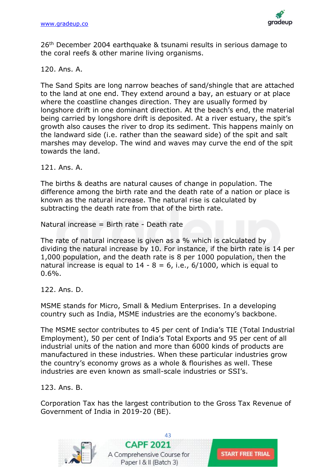![](_page_42_Picture_1.jpeg)

26th December 2004 earthquake & tsunami results in serious damage to the coral reefs & other marine living organisms.

# 120. Ans. A.

The Sand Spits are long narrow beaches of sand/shingle that are attached to the land at one end. They extend around a bay, an estuary or at place where the coastline changes direction. They are usually formed by longshore drift in one dominant direction. At the beach's end, the material being carried by longshore drift is deposited. At a river estuary, the spit's growth also causes the river to drop its sediment. This happens mainly on the landward side (i.e. rather than the seaward side) of the spit and salt marshes may develop. The wind and waves may curve the end of the spit towards the land.

121. Ans. A.

The births & deaths are natural causes of change in population. The difference among the birth rate and the death rate of a nation or place is known as the natural increase. The natural rise is calculated by subtracting the death rate from that of the birth rate.

Natural increase = Birth rate - Death rate

The rate of natural increase is given as a % which is calculated by dividing the natural increase by 10. For instance, if the birth rate is 14 per 1,000 population, and the death rate is 8 per 1000 population, then the natural increase is equal to  $14 - 8 = 6$ , i.e.,  $6/1000$ , which is equal to  $0.6%$ .

122. Ans. D.

MSME stands for Micro, Small & Medium Enterprises. In a developing country such as India, MSME industries are the economy's backbone.

The MSME sector contributes to 45 per cent of India's TIE (Total Industrial Employment), 50 per cent of India's Total Exports and 95 per cent of all industrial units of the nation and more than 6000 kinds of products are manufactured in these industries. When these particular industries grow the country's economy grows as a whole & flourishes as well. These industries are even known as small-scale industries or SSI's.

123. Ans. B.

Corporation Tax has the largest contribution to the Gross Tax Revenue of Government of India in 2019-20 (BE).

**START FREE TRIAL** 

![](_page_42_Picture_14.jpeg)

![](_page_42_Picture_15.jpeg)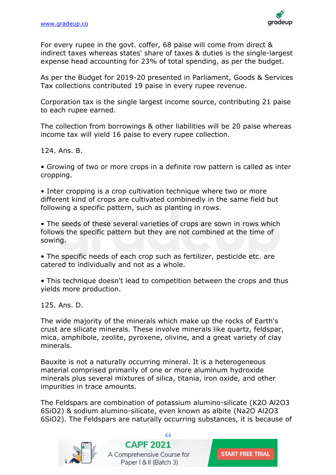![](_page_43_Picture_1.jpeg)

For every rupee in the govt. coffer, 68 paise will come from direct & indirect taxes whereas states' share of taxes & duties is the single-largest expense head accounting for 23% of total spending, as per the budget.

As per the Budget for 2019-20 presented in Parliament, Goods & Services Tax collections contributed 19 paise in every rupee revenue.

Corporation tax is the single largest income source, contributing 21 paise to each rupee earned.

The collection from borrowings & other liabilities will be 20 paise whereas income tax will yield 16 paise to every rupee collection.

124. Ans. B.

• Growing of two or more crops in a definite row pattern is called as inter cropping.

• Inter cropping is a crop cultivation technique where two or more different kind of crops are cultivated combinedly in the same field but following a specific pattern, such as planting in rows.

• The seeds of these several varieties of crops are sown in rows which follows the specific pattern but they are not combined at the time of sowing.

• The specific needs of each crop such as fertilizer, pesticide etc. are catered to individually and not as a whole.

• This technique doesn't lead to competition between the crops and thus yields more production.

125. Ans. D.

The wide majority of the minerals which make up the rocks of Earth's crust are silicate minerals. These involve minerals like quartz, feldspar, mica, amphibole, zeolite, pyroxene, olivine, and a great variety of clay minerals.

Bauxite is not a naturally occurring mineral. It is a heterogeneous material comprised primarily of one or more aluminum hydroxide minerals plus several mixtures of silica, titania, iron oxide, and other impurities in trace amounts.

The Feldspars are combination of potassium alumino-silicate (K2O Al2O3 6SiO2) & sodium alumino-silicate, even known as albite (Na2O Al2O3 6SiO2). The Feldspars are naturally occurring substances, it is because of

![](_page_43_Picture_16.jpeg)

 $\Delta\Delta$ **CAPF 2021** A Comprehensive Course for Paper | & II (Batch 3)

![](_page_43_Picture_18.jpeg)